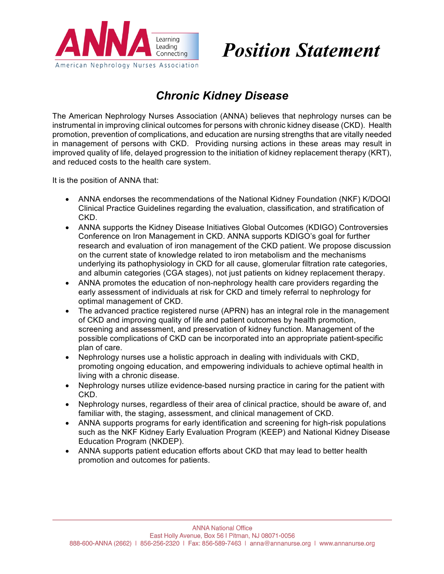

# *Position Statement*

# *Chronic Kidney Disease*

The American Nephrology Nurses Association (ANNA) believes that nephrology nurses can be instrumental in improving clinical outcomes for persons with chronic kidney disease (CKD). Health promotion, prevention of complications, and education are nursing strengths that are vitally needed in management of persons with CKD. Providing nursing actions in these areas may result in improved quality of life, delayed progression to the initiation of kidney replacement therapy (KRT), and reduced costs to the health care system.

It is the position of ANNA that:

- ANNA endorses the recommendations of the National Kidney Foundation (NKF) K/DOQI Clinical Practice Guidelines regarding the evaluation, classification, and stratification of CKD.
- ANNA supports the Kidney Disease Initiatives Global Outcomes (KDIGO) Controversies Conference on Iron Management in CKD. ANNA supports KDIGO's goal for further research and evaluation of iron management of the CKD patient. We propose discussion on the current state of knowledge related to iron metabolism and the mechanisms underlying its pathophysiology in CKD for all cause, glomerular filtration rate categories, and albumin categories (CGA stages), not just patients on kidney replacement therapy.
- ANNA promotes the education of non-nephrology health care providers regarding the early assessment of individuals at risk for CKD and timely referral to nephrology for optimal management of CKD.
- The advanced practice registered nurse (APRN) has an integral role in the management of CKD and improving quality of life and patient outcomes by health promotion, screening and assessment, and preservation of kidney function. Management of the possible complications of CKD can be incorporated into an appropriate patient-specific plan of care.
- Nephrology nurses use a holistic approach in dealing with individuals with CKD, promoting ongoing education, and empowering individuals to achieve optimal health in living with a chronic disease.
- Nephrology nurses utilize evidence-based nursing practice in caring for the patient with CKD.
- Nephrology nurses, regardless of their area of clinical practice, should be aware of, and familiar with, the staging, assessment, and clinical management of CKD.
- ANNA supports programs for early identification and screening for high-risk populations such as the NKF Kidney Early Evaluation Program (KEEP) and National Kidney Disease Education Program (NKDEP).
- ANNA supports patient education efforts about CKD that may lead to better health promotion and outcomes for patients.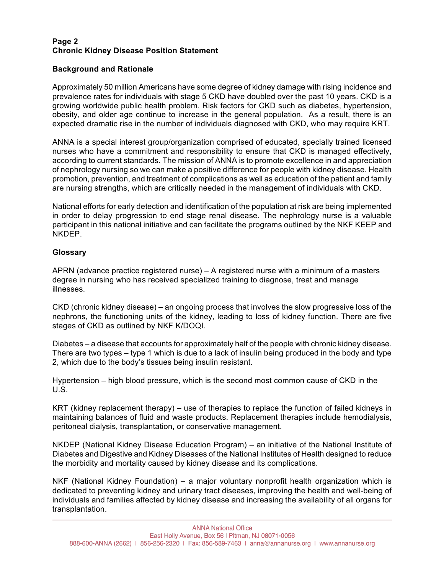### **Page 2 Chronic Kidney Disease Position Statement**

# **Background and Rationale**

Approximately 50 million Americans have some degree of kidney damage with rising incidence and prevalence rates for individuals with stage 5 CKD have doubled over the past 10 years. CKD is a growing worldwide public health problem. Risk factors for CKD such as diabetes, hypertension, obesity, and older age continue to increase in the general population. As a result, there is an expected dramatic rise in the number of individuals diagnosed with CKD, who may require KRT.

ANNA is a special interest group/organization comprised of educated, specially trained licensed nurses who have a commitment and responsibility to ensure that CKD is managed effectively, according to current standards. The mission of ANNA is to promote excellence in and appreciation of nephrology nursing so we can make a positive difference for people with kidney disease. Health promotion, prevention, and treatment of complications as well as education of the patient and family are nursing strengths, which are critically needed in the management of individuals with CKD.

National efforts for early detection and identification of the population at risk are being implemented in order to delay progression to end stage renal disease. The nephrology nurse is a valuable participant in this national initiative and can facilitate the programs outlined by the NKF KEEP and NKDEP.

# **Glossary**

APRN (advance practice registered nurse) – A registered nurse with a minimum of a masters degree in nursing who has received specialized training to diagnose, treat and manage illnesses.

CKD (chronic kidney disease) – an ongoing process that involves the slow progressive loss of the nephrons, the functioning units of the kidney, leading to loss of kidney function. There are five stages of CKD as outlined by NKF K/DOQI.

Diabetes – a disease that accounts for approximately half of the people with chronic kidney disease. There are two types – type 1 which is due to a lack of insulin being produced in the body and type 2, which due to the body's tissues being insulin resistant.

Hypertension – high blood pressure, which is the second most common cause of CKD in the U.S.

KRT (kidney replacement therapy) – use of therapies to replace the function of failed kidneys in maintaining balances of fluid and waste products. Replacement therapies include hemodialysis, peritoneal dialysis, transplantation, or conservative management.

NKDEP (National Kidney Disease Education Program) – an initiative of the National Institute of Diabetes and Digestive and Kidney Diseases of the National Institutes of Health designed to reduce the morbidity and mortality caused by kidney disease and its complications.

NKF (National Kidney Foundation) – a major voluntary nonprofit health organization which is dedicated to preventing kidney and urinary tract diseases, improving the health and well-being of individuals and families affected by kidney disease and increasing the availability of all organs for transplantation.